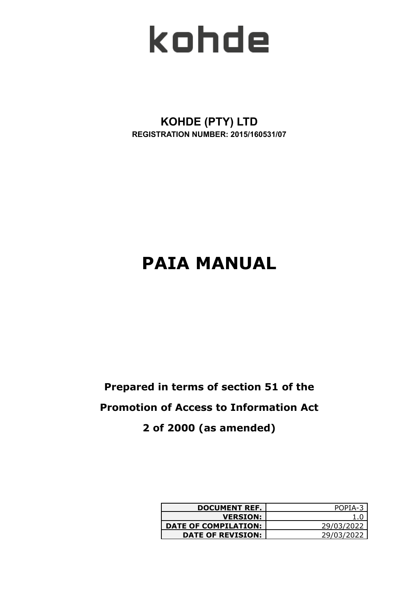

**KOHDE (PTY) LTD REGISTRATION NUMBER: 2015/160531/07**

# **PAIA MANUAL**

## **Prepared in terms of section 51 of the Promotion of Access to Information Act 2 of 2000 (as amended)**

| <b>DOCUMENT REF.</b>        | POPIA-3    |
|-----------------------------|------------|
| <b>VERSION:</b>             |            |
| <b>DATE OF COMPILATION:</b> | 29/03/2022 |
| <b>DATE OF REVISION:</b>    | 29/03/2022 |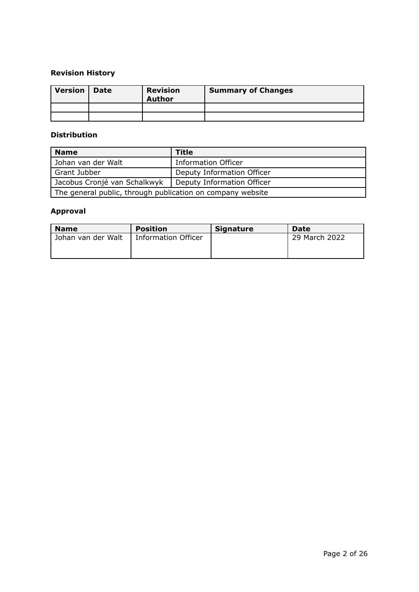## **Revision History**

| Version   Date | <b>Revision</b><br><b>Author</b> | <b>Summary of Changes</b> |
|----------------|----------------------------------|---------------------------|
|                |                                  |                           |
|                |                                  |                           |

## **Distribution**

| <b>Name</b>                                                | Title                      |  |  |  |
|------------------------------------------------------------|----------------------------|--|--|--|
| Johan van der Walt                                         | <b>Information Officer</b> |  |  |  |
| Grant Jubber                                               | Deputy Information Officer |  |  |  |
| Jacobus Cronjé van Schalkwyk                               | Deputy Information Officer |  |  |  |
| The general public, through publication on company website |                            |  |  |  |

## **Approval**

| <b>Name</b>        | <b>Position</b>            | <b>Signature</b> | Date          |
|--------------------|----------------------------|------------------|---------------|
| Johan van der Walt | <b>Information Officer</b> |                  | 29 March 2022 |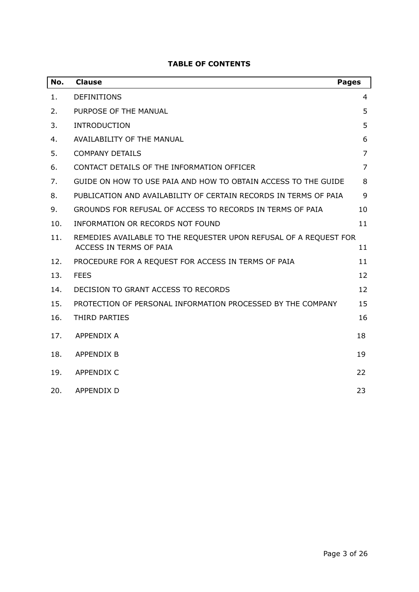| No. | <b>Clause</b>                                                                                | <b>Pages</b>   |
|-----|----------------------------------------------------------------------------------------------|----------------|
| 1.  | <b>DEFINITIONS</b>                                                                           | 4              |
| 2.  | PURPOSE OF THE MANUAL                                                                        | 5              |
| 3.  | <b>INTRODUCTION</b>                                                                          | 5              |
| 4.  | <b>AVAILABILITY OF THE MANUAL</b>                                                            | 6              |
| 5.  | <b>COMPANY DETAILS</b>                                                                       | $\overline{7}$ |
| 6.  | CONTACT DETAILS OF THE INFORMATION OFFICER                                                   | $\overline{7}$ |
| 7.  | GUIDE ON HOW TO USE PAIA AND HOW TO OBTAIN ACCESS TO THE GUIDE                               | 8              |
| 8.  | PUBLICATION AND AVAILABILITY OF CERTAIN RECORDS IN TERMS OF PAIA                             | 9              |
| 9.  | GROUNDS FOR REFUSAL OF ACCESS TO RECORDS IN TERMS OF PAIA                                    | 10             |
| 10. | INFORMATION OR RECORDS NOT FOUND                                                             | 11             |
| 11. | REMEDIES AVAILABLE TO THE REQUESTER UPON REFUSAL OF A REQUEST FOR<br>ACCESS IN TERMS OF PAIA | 11             |
| 12. | PROCEDURE FOR A REQUEST FOR ACCESS IN TERMS OF PAIA                                          | 11             |
| 13. | <b>FEES</b>                                                                                  | 12             |
| 14. | DECISION TO GRANT ACCESS TO RECORDS                                                          | 12             |
| 15. | PROTECTION OF PERSONAL INFORMATION PROCESSED BY THE COMPANY                                  | 15             |
| 16. | THIRD PARTIES                                                                                | 16             |
| 17. | <b>APPENDIX A</b>                                                                            | 18             |
| 18. | <b>APPENDIX B</b>                                                                            | 19             |
| 19. | <b>APPENDIX C</b>                                                                            | 22             |
| 20. | <b>APPENDIX D</b>                                                                            | 23             |

## **TABLE OF CONTENTS**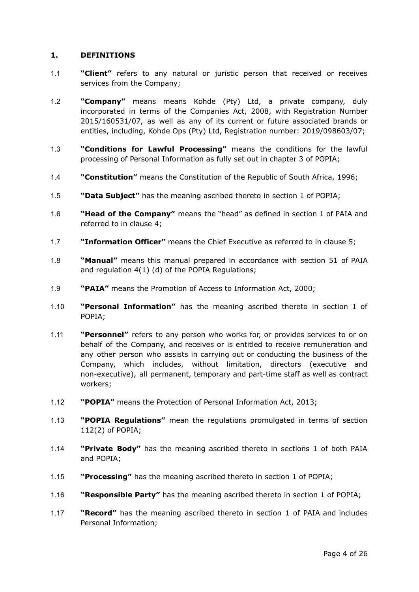#### <span id="page-3-0"></span>**1. DEFINITIONS**

- 1.1 **"Client"** refers to any natural or juristic person that received or receives services from the Company;
- 1.2 **"Company"** means means Kohde (Pty) Ltd, a private company, duly incorporated in terms of the Companies Act, 2008, with Registration Number 2015/160531/07, as well as any of its current or future associated brands or entities, including, Kohde Ops (Pty) Ltd, Registration number: 2019/098603/07;
- 1.3 **"Conditions for Lawful Processing"** means the conditions for the lawful processing of Personal Information as fully set out in chapter 3 of POPIA;
- 1.4 **"Constitution"** means the Constitution of the Republic of South Africa, 1996;
- 1.5 **"Data Subject"** has the meaning ascribed thereto in section 1 of POPIA;
- 1.6 **"Head of the Company"** means the "head" as defined in section 1 of PAIA and referred to in clause 4;
- 1.7 **"Information Officer"** means the Chief Executive as referred to in clause 5;
- 1.8 **"Manual"** means this manual prepared in accordance with section 51 of PAIA and regulation 4(1) (d) of the POPIA Regulations;
- 1.9 **"PAIA"** means the Promotion of Access to Information Act, 2000;
- 1.10 **"Personal Information"** has the meaning ascribed thereto in section 1 of POPIA;
- 1.11 **"Personnel"** refers to any person who works for, or provides services to or on behalf of the Company, and receives or is entitled to receive remuneration and any other person who assists in carrying out or conducting the business of the Company, which includes, without limitation, directors (executive and non-executive), all permanent, temporary and part-time staff as well as contract workers;
- 1.12 **"POPIA"** means the Protection of Personal Information Act, 2013;
- 1.13 **"POPIA Regulations"** mean the regulations promulgated in terms of section 112(2) of POPIA;
- 1.14 **"Private Body"** has the meaning ascribed thereto in sections 1 of both PAIA and POPIA;
- 1.15 **"Processing"** has the meaning ascribed thereto in section 1 of POPIA;
- 1.16 **"Responsible Party"** has the meaning ascribed thereto in section 1 of POPIA;
- 1.17 **"Record"** has the meaning ascribed thereto in section 1 of PAIA and includes Personal Information;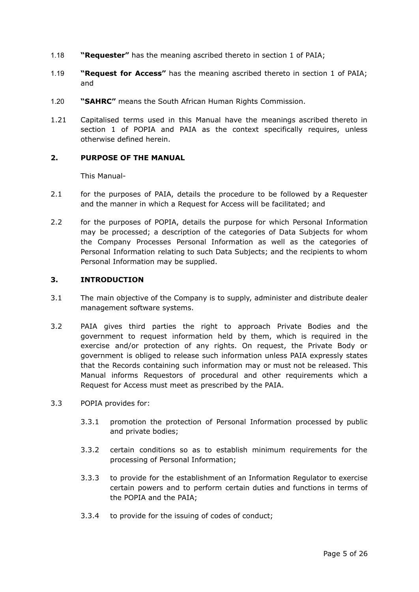- 1.18 **"Requester"** has the meaning ascribed thereto in section 1 of PAIA;
- 1.19 **"Request for Access"** has the meaning ascribed thereto in section 1 of PAIA; and
- 1.20 **"SAHRC"** means the South African Human Rights Commission.
- 1.21 Capitalised terms used in this Manual have the meanings ascribed thereto in section 1 of POPIA and PAIA as the context specifically requires, unless otherwise defined herein.

## <span id="page-4-0"></span>**2. PURPOSE OF THE MANUAL**

This Manual-

- 2.1 for the purposes of PAIA, details the procedure to be followed by a Requester and the manner in which a Request for Access will be facilitated; and
- 2.2 for the purposes of POPIA, details the purpose for which Personal Information may be processed; a description of the categories of Data Subjects for whom the Company Processes Personal Information as well as the categories of Personal Information relating to such Data Subjects; and the recipients to whom Personal Information may be supplied.

#### <span id="page-4-1"></span>**3. INTRODUCTION**

- 3.1 The main objective of the Company is to supply, administer and distribute dealer management software systems.
- 3.2 PAIA gives third parties the right to approach Private Bodies and the government to request information held by them, which is required in the exercise and/or protection of any rights. On request, the Private Body or government is obliged to release such information unless PAIA expressly states that the Records containing such information may or must not be released. This Manual informs Requestors of procedural and other requirements which a Request for Access must meet as prescribed by the PAIA.
- 3.3 POPIA provides for:
	- 3.3.1 promotion the protection of Personal Information processed by public and private bodies;
	- 3.3.2 certain conditions so as to establish minimum requirements for the processing of Personal Information;
	- 3.3.3 to provide for the establishment of an Information Regulator to exercise certain powers and to perform certain duties and functions in terms of the POPIA and the PAIA;
	- 3.3.4 to provide for the issuing of codes of conduct;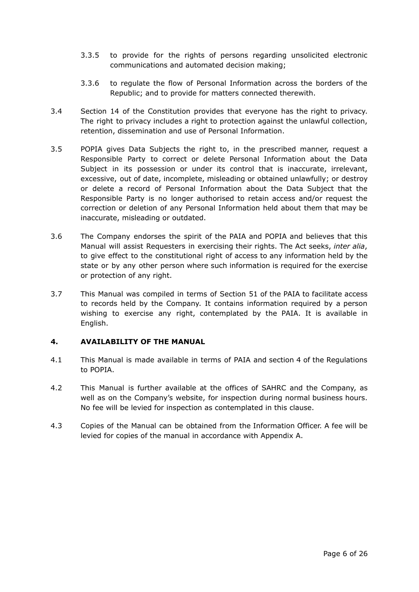- 3.3.5 to provide for the rights of persons regarding unsolicited electronic communications and automated decision making;
- 3.3.6 to regulate the flow of Personal Information across the borders of the Republic; and to provide for matters connected therewith.
- 3.4 Section 14 of the Constitution provides that everyone has the right to privacy. The right to privacy includes a right to protection against the unlawful collection, retention, dissemination and use of Personal Information.
- 3.5 POPIA gives Data Subjects the right to, in the prescribed manner, request a Responsible Party to correct or delete Personal Information about the Data Subject in its possession or under its control that is inaccurate, irrelevant, excessive, out of date, incomplete, misleading or obtained unlawfully; or destroy or delete a record of Personal Information about the Data Subject that the Responsible Party is no longer authorised to retain access and/or request the correction or deletion of any Personal Information held about them that may be inaccurate, misleading or outdated.
- 3.6 The Company endorses the spirit of the PAIA and POPIA and believes that this Manual will assist Requesters in exercising their rights. The Act seeks, *inter alia*, to give effect to the constitutional right of access to any information held by the state or by any other person where such information is required for the exercise or protection of any right.
- 3.7 This Manual was compiled in terms of Section 51 of the PAIA to facilitate access to records held by the Company. It contains information required by a person wishing to exercise any right, contemplated by the PAIA. It is available in English.

## <span id="page-5-0"></span>**4. AVAILABILITY OF THE MANUAL**

- 4.1 This Manual is made available in terms of PAIA and section 4 of the Regulations to POPIA.
- 4.2 This Manual is further available at the offices of SAHRC and the Company, as well as on the Company's website, for inspection during normal business hours. No fee will be levied for inspection as contemplated in this clause.
- 4.3 Copies of the Manual can be obtained from the Information Officer. A fee will be levied for copies of the manual in accordance with Appendix A.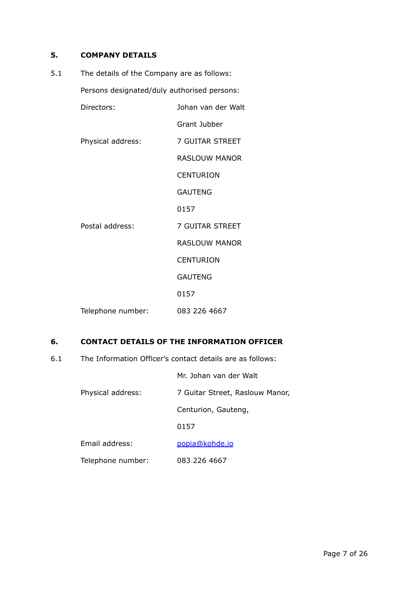## <span id="page-6-0"></span>**5. COMPANY DETAILS**

| 5.1 | The details of the Company are as follows: |                                             |  |  |  |
|-----|--------------------------------------------|---------------------------------------------|--|--|--|
|     |                                            | Persons designated/duly authorised persons: |  |  |  |
|     | Directors:                                 | Johan van der Walt                          |  |  |  |
|     |                                            | Grant Jubber                                |  |  |  |
|     | Physical address:                          | 7 GUITAR STREET                             |  |  |  |
|     |                                            | <b>RASLOUW MANOR</b>                        |  |  |  |
|     |                                            | <b>CENTURION</b>                            |  |  |  |
|     |                                            | <b>GAUTENG</b>                              |  |  |  |
|     |                                            | 0157                                        |  |  |  |
|     | Postal address:                            | 7 GUITAR STREET                             |  |  |  |
|     |                                            | <b>RASLOUW MANOR</b>                        |  |  |  |
|     |                                            | <b>CENTURION</b>                            |  |  |  |
|     |                                            | <b>GAUTENG</b>                              |  |  |  |
|     |                                            | 0157                                        |  |  |  |
|     | Telephone number:                          | 083 226 4667                                |  |  |  |

## **6. CONTACT DETAILS OF THE INFORMATION OFFICER**

6.1 The Information Officer's contact details are as follows:

Mr. Johan van der Walt

Physical address: 7 Guitar Street, Raslouw Manor,

Centurion, Gauteng,

0157

Email address: [popia@kohde.io](mailto:popia@kohde.io)

Telephone number: 083 226 4667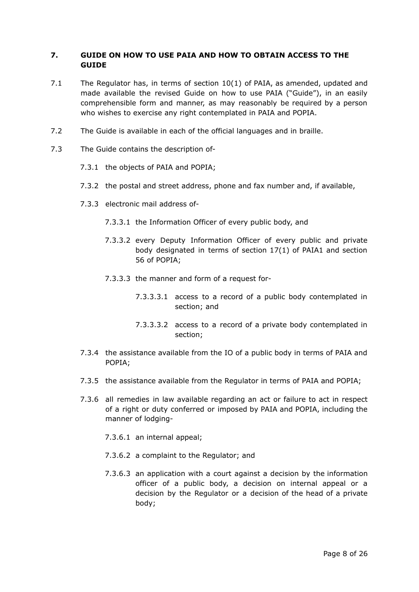## <span id="page-7-0"></span>**7. GUIDE ON HOW TO USE PAIA AND HOW TO OBTAIN ACCESS TO THE GUIDE**

- 7.1 The Regulator has, in terms of section  $10(1)$  of PAIA, as amended, updated and made available the revised Guide on how to use PAIA ("Guide"), in an easily comprehensible form and manner, as may reasonably be required by a person who wishes to exercise any right contemplated in PAIA and POPIA.
- 7.2 The Guide is available in each of the official languages and in braille.
- 7.3 The Guide contains the description of-
	- 7.3.1 the objects of PAIA and POPIA;
	- 7.3.2 the postal and street address, phone and fax number and, if available,
	- 7.3.3 electronic mail address of-
		- 7.3.3.1 the Information Officer of every public body, and
		- 7.3.3.2 every Deputy Information Officer of every public and private body designated in terms of section 17(1) of PAIA1 and section 56 of POPIA;
		- 7.3.3.3 the manner and form of a request for-
			- 7.3.3.3.1 access to a record of a public body contemplated in section; and
			- 7.3.3.3.2 access to a record of a private body contemplated in section;
	- 7.3.4 the assistance available from the IO of a public body in terms of PAIA and POPIA;
	- 7.3.5 the assistance available from the Regulator in terms of PAIA and POPIA;
	- 7.3.6 all remedies in law available regarding an act or failure to act in respect of a right or duty conferred or imposed by PAIA and POPIA, including the manner of lodging-
		- 7.3.6.1 an internal appeal;
		- 7.3.6.2 a complaint to the Regulator; and
		- 7.3.6.3 an application with a court against a decision by the information officer of a public body, a decision on internal appeal or a decision by the Regulator or a decision of the head of a private body;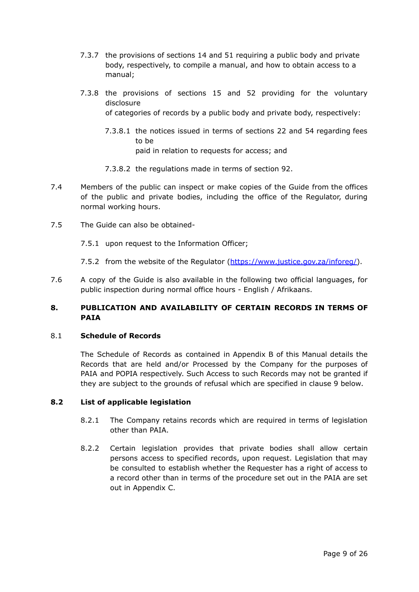- 7.3.7 the provisions of sections 14 and 51 requiring a public body and private body, respectively, to compile a manual, and how to obtain access to a manual;
- 7.3.8 the provisions of sections 15 and 52 providing for the voluntary disclosure of categories of records by a public body and private body, respectively:
	- 7.3.8.1 the notices issued in terms of sections 22 and 54 regarding fees to be paid in relation to requests for access; and
	- 7.3.8.2 the regulations made in terms of section 92.
- 7.4 Members of the public can inspect or make copies of the Guide from the offices of the public and private bodies, including the office of the Regulator, during normal working hours.
- 7.5 The Guide can also be obtained-
	- 7.5.1 upon request to the Information Officer;
	- 7.5.2 from the website of the Regulator ([https://www.justice.gov.za/inforeg/\)](https://www.justice.gov.za/inforeg/).
- 7.6 A copy of the Guide is also available in the following two official languages, for public inspection during normal office hours - English / Afrikaans.

## <span id="page-8-0"></span>**8. PUBLICATION AND AVAILABILITY OF CERTAIN RECORDS IN TERMS OF PAIA**

## 8.1 **Schedule of Records**

The Schedule of Records as contained in Appendix B of this Manual details the Records that are held and/or Processed by the Company for the purposes of PAIA and POPIA respectively. Such Access to such Records may not be granted if they are subject to the grounds of refusal which are specified in clause 9 below.

## **8.2 List of applicable legislation**

- 8.2.1 The Company retains records which are required in terms of legislation other than PAIA.
- 8.2.2 Certain legislation provides that private bodies shall allow certain persons access to specified records, upon request. Legislation that may be consulted to establish whether the Requester has a right of access to a record other than in terms of the procedure set out in the PAIA are set out in Appendix C.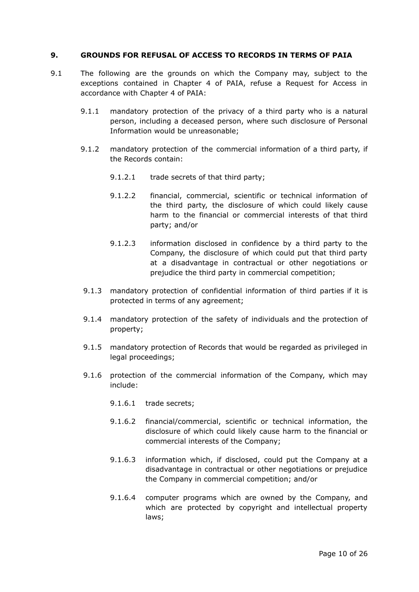#### <span id="page-9-0"></span>**9. GROUNDS FOR REFUSAL OF ACCESS TO RECORDS IN TERMS OF PAIA**

- 9.1 The following are the grounds on which the Company may, subject to the exceptions contained in Chapter 4 of PAIA, refuse a Request for Access in accordance with Chapter 4 of PAIA:
	- 9.1.1 mandatory protection of the privacy of a third party who is a natural person, including a deceased person, where such disclosure of Personal Information would be unreasonable;
	- 9.1.2 mandatory protection of the commercial information of a third party, if the Records contain:
		- 9.1.2.1 trade secrets of that third party;
		- 9.1.2.2 financial, commercial, scientific or technical information of the third party, the disclosure of which could likely cause harm to the financial or commercial interests of that third party; and/or
		- 9.1.2.3 information disclosed in confidence by a third party to the Company, the disclosure of which could put that third party at a disadvantage in contractual or other negotiations or prejudice the third party in commercial competition;
	- 9.1.3 mandatory protection of confidential information of third parties if it is protected in terms of any agreement;
	- 9.1.4 mandatory protection of the safety of individuals and the protection of property;
	- 9.1.5 mandatory protection of Records that would be regarded as privileged in legal proceedings;
	- 9.1.6 protection of the commercial information of the Company, which may include:
		- 9.1.6.1 trade secrets;
		- 9.1.6.2 financial/commercial, scientific or technical information, the disclosure of which could likely cause harm to the financial or commercial interests of the Company;
		- 9.1.6.3 information which, if disclosed, could put the Company at a disadvantage in contractual or other negotiations or prejudice the Company in commercial competition; and/or
		- 9.1.6.4 computer programs which are owned by the Company, and which are protected by copyright and intellectual property laws;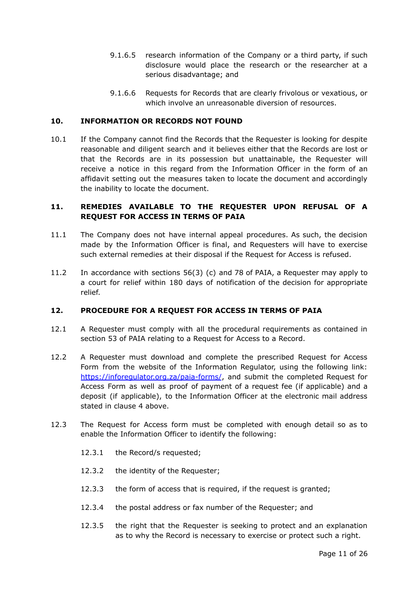- 9.1.6.5 research information of the Company or a third party, if such disclosure would place the research or the researcher at a serious disadvantage; and
- 9.1.6.6 Requests for Records that are clearly frivolous or vexatious, or which involve an unreasonable diversion of resources.

## <span id="page-10-0"></span>**10. INFORMATION OR RECORDS NOT FOUND**

10.1 If the Company cannot find the Records that the Requester is looking for despite reasonable and diligent search and it believes either that the Records are lost or that the Records are in its possession but unattainable, the Requester will receive a notice in this regard from the Information Officer in the form of an affidavit setting out the measures taken to locate the document and accordingly the inability to locate the document.

## <span id="page-10-1"></span>**11. REMEDIES AVAILABLE TO THE REQUESTER UPON REFUSAL OF A REQUEST FOR ACCESS IN TERMS OF PAIA**

- 11.1 The Company does not have internal appeal procedures. As such, the decision made by the Information Officer is final, and Requesters will have to exercise such external remedies at their disposal if the Request for Access is refused.
- 11.2 In accordance with sections 56(3) (c) and 78 of PAIA, a Requester may apply to a court for relief within 180 days of notification of the decision for appropriate relief.

#### <span id="page-10-2"></span>**12. PROCEDURE FOR A REQUEST FOR ACCESS IN TERMS OF PAIA**

- 12.1 A Requester must comply with all the procedural requirements as contained in section 53 of PAIA relating to a Request for Access to a Record.
- 12.2 A Requester must download and complete the prescribed Request for Access Form from the website of the Information Regulator, using the following link: <https://inforegulator.org.za/paia-forms/>, and submit the completed Request for Access Form as well as proof of payment of a request fee (if applicable) and a deposit (if applicable), to the Information Officer at the electronic mail address stated in clause 4 above.
- 12.3 The Request for Access form must be completed with enough detail so as to enable the Information Officer to identify the following:
	- 12.3.1 the Record/s requested;
	- 12.3.2 the identity of the Requester;
	- 12.3.3 the form of access that is required, if the request is granted;
	- 12.3.4 the postal address or fax number of the Requester; and
	- 12.3.5 the right that the Requester is seeking to protect and an explanation as to why the Record is necessary to exercise or protect such a right.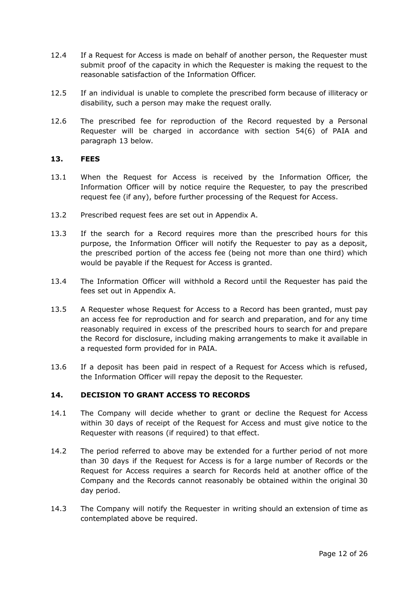- 12.4 If a Request for Access is made on behalf of another person, the Requester must submit proof of the capacity in which the Requester is making the request to the reasonable satisfaction of the Information Officer.
- 12.5 If an individual is unable to complete the prescribed form because of illiteracy or disability, such a person may make the request orally.
- 12.6 The prescribed fee for reproduction of the Record requested by a Personal Requester will be charged in accordance with section 54(6) of PAIA and paragraph 13 below.

#### <span id="page-11-0"></span>**13. FEES**

- 13.1 When the Request for Access is received by the Information Officer, the Information Officer will by notice require the Requester, to pay the prescribed request fee (if any), before further processing of the Request for Access.
- 13.2 Prescribed request fees are set out in Appendix A.
- 13.3 If the search for a Record requires more than the prescribed hours for this purpose, the Information Officer will notify the Requester to pay as a deposit, the prescribed portion of the access fee (being not more than one third) which would be payable if the Request for Access is granted.
- 13.4 The Information Officer will withhold a Record until the Requester has paid the fees set out in Appendix A.
- 13.5 A Requester whose Request for Access to a Record has been granted, must pay an access fee for reproduction and for search and preparation, and for any time reasonably required in excess of the prescribed hours to search for and prepare the Record for disclosure, including making arrangements to make it available in a requested form provided for in PAIA.
- 13.6 If a deposit has been paid in respect of a Request for Access which is refused, the Information Officer will repay the deposit to the Requester.

## <span id="page-11-1"></span>**14. DECISION TO GRANT ACCESS TO RECORDS**

- 14.1 The Company will decide whether to grant or decline the Request for Access within 30 days of receipt of the Request for Access and must give notice to the Requester with reasons (if required) to that effect.
- 14.2 The period referred to above may be extended for a further period of not more than 30 days if the Request for Access is for a large number of Records or the Request for Access requires a search for Records held at another office of the Company and the Records cannot reasonably be obtained within the original 30 day period.
- 14.3 The Company will notify the Requester in writing should an extension of time as contemplated above be required.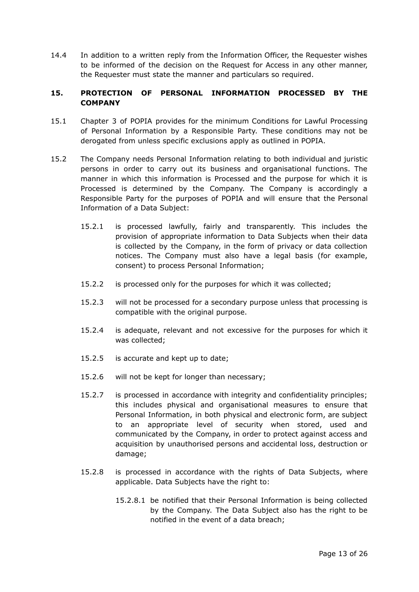14.4 In addition to a written reply from the Information Officer, the Requester wishes to be informed of the decision on the Request for Access in any other manner, the Requester must state the manner and particulars so required.

## <span id="page-12-0"></span>**15. PROTECTION OF PERSONAL INFORMATION PROCESSED BY THE COMPANY**

- 15.1 Chapter 3 of POPIA provides for the minimum Conditions for Lawful Processing of Personal Information by a Responsible Party. These conditions may not be derogated from unless specific exclusions apply as outlined in POPIA.
- 15.2 The Company needs Personal Information relating to both individual and juristic persons in order to carry out its business and organisational functions. The manner in which this information is Processed and the purpose for which it is Processed is determined by the Company. The Company is accordingly a Responsible Party for the purposes of POPIA and will ensure that the Personal Information of a Data Subject:
	- 15.2.1 is processed lawfully, fairly and transparently. This includes the provision of appropriate information to Data Subjects when their data is collected by the Company, in the form of privacy or data collection notices. The Company must also have a legal basis (for example, consent) to process Personal Information;
	- 15.2.2 is processed only for the purposes for which it was collected;
	- 15.2.3 will not be processed for a secondary purpose unless that processing is compatible with the original purpose.
	- 15.2.4 is adequate, relevant and not excessive for the purposes for which it was collected;
	- 15.2.5 is accurate and kept up to date;
	- 15.2.6 will not be kept for longer than necessary;
	- 15.2.7 is processed in accordance with integrity and confidentiality principles; this includes physical and organisational measures to ensure that Personal Information, in both physical and electronic form, are subject to an appropriate level of security when stored, used and communicated by the Company, in order to protect against access and acquisition by unauthorised persons and accidental loss, destruction or damage;
	- 15.2.8 is processed in accordance with the rights of Data Subjects, where applicable. Data Subjects have the right to:
		- 15.2.8.1 be notified that their Personal Information is being collected by the Company. The Data Subject also has the right to be notified in the event of a data breach;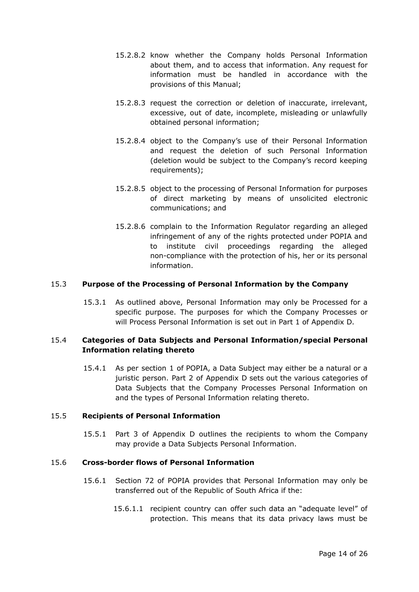- 15.2.8.2 know whether the Company holds Personal Information about them, and to access that information. Any request for information must be handled in accordance with the provisions of this Manual;
- 15.2.8.3 request the correction or deletion of inaccurate, irrelevant, excessive, out of date, incomplete, misleading or unlawfully obtained personal information;
- 15.2.8.4 object to the Company's use of their Personal Information and request the deletion of such Personal Information (deletion would be subject to the Company's record keeping requirements);
- 15.2.8.5 object to the processing of Personal Information for purposes of direct marketing by means of unsolicited electronic communications; and
- 15.2.8.6 complain to the Information Regulator regarding an alleged infringement of any of the rights protected under POPIA and to institute civil proceedings regarding the alleged non-compliance with the protection of his, her or its personal information.

## 15.3 **Purpose of the Processing of Personal Information by the Company**

15.3.1 As outlined above, Personal Information may only be Processed for a specific purpose. The purposes for which the Company Processes or will Process Personal Information is set out in Part 1 of Appendix D.

## 15.4 **Categories of Data Subjects and Personal Information/special Personal Information relating thereto**

15.4.1 As per section 1 of POPIA, a Data Subject may either be a natural or a juristic person. Part 2 of Appendix D sets out the various categories of Data Subjects that the Company Processes Personal Information on and the types of Personal Information relating thereto.

#### 15.5 **Recipients of Personal Information**

15.5.1 Part 3 of Appendix D outlines the recipients to whom the Company may provide a Data Subjects Personal Information.

#### 15.6 **Cross-border flows of Personal Information**

- 15.6.1 Section 72 of POPIA provides that Personal Information may only be transferred out of the Republic of South Africa if the:
	- 15.6.1.1 recipient country can offer such data an "adequate level" of protection. This means that its data privacy laws must be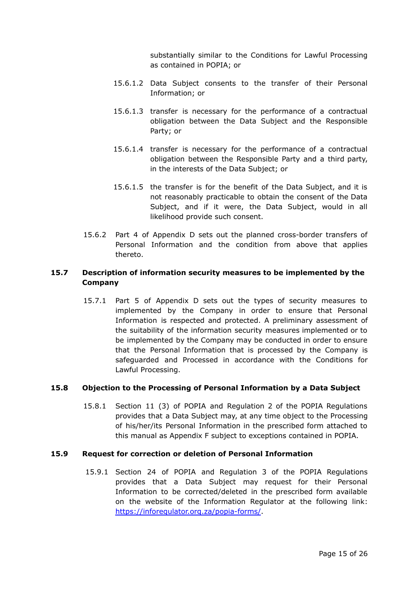substantially similar to the Conditions for Lawful Processing as contained in POPIA; or

- 15.6.1.2 Data Subject consents to the transfer of their Personal Information; or
- 15.6.1.3 transfer is necessary for the performance of a contractual obligation between the Data Subject and the Responsible Party; or
- 15.6.1.4 transfer is necessary for the performance of a contractual obligation between the Responsible Party and a third party, in the interests of the Data Subject; or
- 15.6.1.5 the transfer is for the benefit of the Data Subject, and it is not reasonably practicable to obtain the consent of the Data Subject, and if it were, the Data Subject, would in all likelihood provide such consent.
- 15.6.2 Part 4 of Appendix D sets out the planned cross-border transfers of Personal Information and the condition from above that applies thereto.

## **15.7 Description of information security measures to be implemented by the Company**

15.7.1 Part 5 of Appendix D sets out the types of security measures to implemented by the Company in order to ensure that Personal Information is respected and protected. A preliminary assessment of the suitability of the information security measures implemented or to be implemented by the Company may be conducted in order to ensure that the Personal Information that is processed by the Company is safeguarded and Processed in accordance with the Conditions for Lawful Processing.

## **15.8 Objection to the Processing of Personal Information by a Data Subject**

15.8.1 Section 11 (3) of POPIA and Regulation 2 of the POPIA Regulations provides that a Data Subject may, at any time object to the Processing of his/her/its Personal Information in the prescribed form attached to this manual as Appendix F subject to exceptions contained in POPIA.

#### **15.9 Request for correction or deletion of Personal Information**

15.9.1 Section 24 of POPIA and Regulation 3 of the POPIA Regulations provides that a Data Subject may request for their Personal Information to be corrected/deleted in the prescribed form available on the website of the Information Regulator at the following link: <https://inforegulator.org.za/popia-forms/>.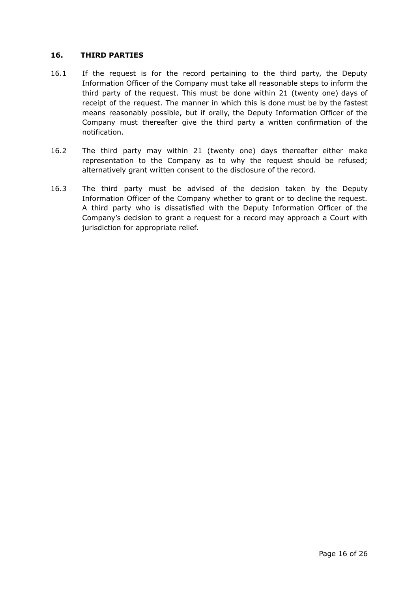#### <span id="page-15-0"></span>**16. THIRD PARTIES**

- 16.1 If the request is for the record pertaining to the third party, the Deputy Information Officer of the Company must take all reasonable steps to inform the third party of the request. This must be done within 21 (twenty one) days of receipt of the request. The manner in which this is done must be by the fastest means reasonably possible, but if orally, the Deputy Information Officer of the Company must thereafter give the third party a written confirmation of the notification.
- 16.2 The third party may within 21 (twenty one) days thereafter either make representation to the Company as to why the request should be refused; alternatively grant written consent to the disclosure of the record.
- 16.3 The third party must be advised of the decision taken by the Deputy Information Officer of the Company whether to grant or to decline the request. A third party who is dissatisfied with the Deputy Information Officer of the Company's decision to grant a request for a record may approach a Court with jurisdiction for appropriate relief.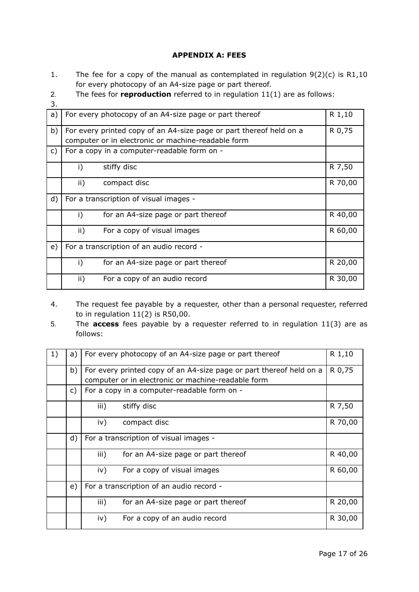## **APPENDIX A: FEES**

- 1. The fee for a copy of the manual as contemplated in regulation 9(2)(c) is R1,10 for every photocopy of an A4-size page or part thereof.
- 2. The fees for **reproduction** referred to in regulation 11(1) are as follows:
- 3.

| J. |                                        |                                                                     |         |
|----|----------------------------------------|---------------------------------------------------------------------|---------|
| a) |                                        | For every photocopy of an A4-size page or part thereof              | R 1,10  |
| b) |                                        | For every printed copy of an A4-size page or part thereof held on a | R 0,75  |
|    |                                        | computer or in electronic or machine-readable form                  |         |
| C) |                                        | For a copy in a computer-readable form on -                         |         |
|    | i)                                     | stiffy disc                                                         | R 7,50  |
|    | ii)                                    | compact disc                                                        | R 70,00 |
| d) | For a transcription of visual images - |                                                                     |         |
|    | i)                                     | for an A4-size page or part thereof                                 | R 40,00 |
|    | ii)                                    | For a copy of visual images                                         | R 60,00 |
| e) |                                        | For a transcription of an audio record -                            |         |
|    | i)                                     | for an A4-size page or part thereof                                 | R 20,00 |
|    | $\mathsf{ii}$ )                        | For a copy of an audio record                                       | R 30,00 |

- 4. The request fee payable by a requester, other than a personal requester, referred to in regulation 11(2) is R50,00.
- 5. The **access** fees payable by a requester referred to in regulation 11(3) are as follows:

| 1) | a) | For every photocopy of an A4-size page or part thereof                                                                    | R 1,10  |
|----|----|---------------------------------------------------------------------------------------------------------------------------|---------|
|    | b) | For every printed copy of an A4-size page or part thereof held on a<br>computer or in electronic or machine-readable form | R 0,75  |
|    | C) | For a copy in a computer-readable form on -                                                                               |         |
|    |    | stiffy disc<br>iii)                                                                                                       | R 7,50  |
|    |    | iv)<br>compact disc                                                                                                       | R 70,00 |
|    | d) | For a transcription of visual images -                                                                                    |         |
|    |    | for an A4-size page or part thereof<br>iii)                                                                               | R 40,00 |
|    |    | For a copy of visual images<br>iv)                                                                                        | R 60,00 |
|    | e) | For a transcription of an audio record -                                                                                  |         |
|    |    | iii)<br>for an A4-size page or part thereof                                                                               | R 20,00 |
|    |    | For a copy of an audio record<br>iv)                                                                                      | R 30,00 |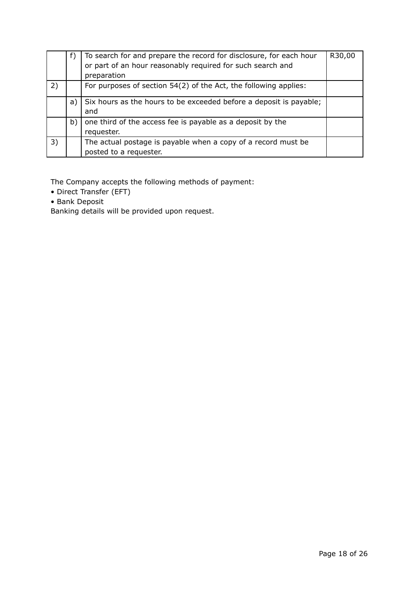|    |    | To search for and prepare the record for disclosure, for each hour<br>or part of an hour reasonably required for such search and<br>preparation | R30,00 |
|----|----|-------------------------------------------------------------------------------------------------------------------------------------------------|--------|
| 2) |    | For purposes of section 54(2) of the Act, the following applies:                                                                                |        |
|    | a) | Six hours as the hours to be exceeded before a deposit is payable;                                                                              |        |
|    |    | and                                                                                                                                             |        |
|    | b) | one third of the access fee is payable as a deposit by the                                                                                      |        |
|    |    | requester.                                                                                                                                      |        |
| 3) |    | The actual postage is payable when a copy of a record must be                                                                                   |        |
|    |    | posted to a requester.                                                                                                                          |        |

The Company accepts the following methods of payment:

- Direct Transfer (EFT)
- Bank Deposit

Banking details will be provided upon request.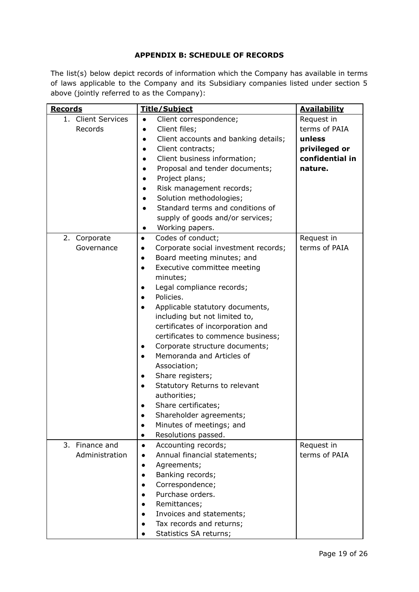## **APPENDIX B: SCHEDULE OF RECORDS**

The list(s) below depict records of information which the Company has available in terms of laws applicable to the Company and its Subsidiary companies listed under section 5 above (jointly referred to as the Company):

| <b>Records</b>     | <b>Title/Subject</b>                              | <b>Availability</b> |
|--------------------|---------------------------------------------------|---------------------|
| 1. Client Services | Client correspondence;<br>$\bullet$               | Request in          |
| Records            | Client files;                                     | terms of PAIA       |
|                    | Client accounts and banking details;<br>$\bullet$ | unless              |
|                    | Client contracts;<br>$\bullet$                    | privileged or       |
|                    | Client business information;                      | confidential in     |
|                    | Proposal and tender documents;                    | nature.             |
|                    | Project plans;<br>$\bullet$                       |                     |
|                    | Risk management records;                          |                     |
|                    | Solution methodologies;<br>$\bullet$              |                     |
|                    | Standard terms and conditions of<br>$\bullet$     |                     |
|                    | supply of goods and/or services;                  |                     |
|                    | Working papers.<br>$\bullet$                      |                     |
| 2. Corporate       | Codes of conduct;<br>$\bullet$                    | Request in          |
| Governance         | Corporate social investment records;<br>$\bullet$ | terms of PAIA       |
|                    | Board meeting minutes; and<br>$\bullet$           |                     |
|                    | Executive committee meeting<br>$\bullet$          |                     |
|                    | minutes;                                          |                     |
|                    | Legal compliance records;<br>$\bullet$            |                     |
|                    | Policies.<br>$\bullet$                            |                     |
|                    | Applicable statutory documents,                   |                     |
|                    | including but not limited to,                     |                     |
|                    | certificates of incorporation and                 |                     |
|                    | certificates to commence business;                |                     |
|                    | Corporate structure documents;<br>$\bullet$       |                     |
|                    | Memoranda and Articles of<br>$\bullet$            |                     |
|                    | Association;                                      |                     |
|                    | Share registers;<br>$\bullet$                     |                     |
|                    | Statutory Returns to relevant<br>$\bullet$        |                     |
|                    | authorities;                                      |                     |
|                    | Share certificates;                               |                     |
|                    | Shareholder agreements;                           |                     |
|                    | Minutes of meetings; and                          |                     |
|                    | Resolutions passed.<br>$\bullet$                  |                     |
| 3. Finance and     | Accounting records;<br>$\bullet$                  | Request in          |
| Administration     | Annual financial statements;                      | terms of PAIA       |
|                    | Agreements;<br>$\bullet$                          |                     |
|                    | Banking records;<br>$\bullet$                     |                     |
|                    | Correspondence;                                   |                     |
|                    | Purchase orders.                                  |                     |
|                    | Remittances;                                      |                     |
|                    | Invoices and statements;                          |                     |
|                    | Tax records and returns;                          |                     |
|                    | Statistics SA returns;                            |                     |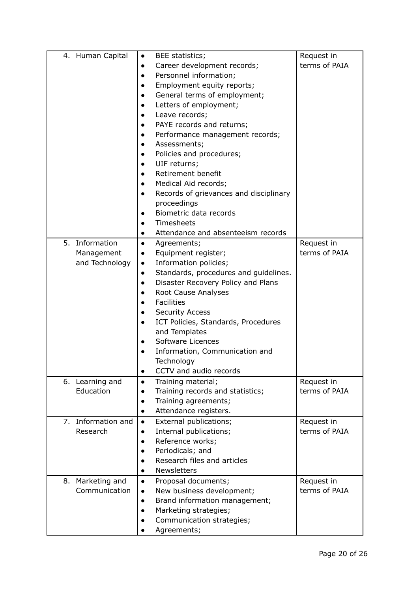| 4. Human Capital   | BEE statistics;<br>$\bullet$                                 | Request in    |
|--------------------|--------------------------------------------------------------|---------------|
|                    | Career development records;<br>$\bullet$                     | terms of PAIA |
|                    | Personnel information;<br>$\bullet$                          |               |
|                    | Employment equity reports;<br>$\bullet$                      |               |
|                    | General terms of employment;<br>$\bullet$                    |               |
|                    | Letters of employment;                                       |               |
|                    | Leave records;<br>$\bullet$                                  |               |
|                    | PAYE records and returns;<br>$\bullet$                       |               |
|                    | Performance management records;<br>$\bullet$                 |               |
|                    | Assessments;<br>$\bullet$                                    |               |
|                    | Policies and procedures;<br>$\bullet$                        |               |
|                    | UIF returns;                                                 |               |
|                    | Retirement benefit<br>$\bullet$                              |               |
|                    | Medical Aid records;<br>$\bullet$                            |               |
|                    | Records of grievances and disciplinary<br>$\bullet$          |               |
|                    | proceedings                                                  |               |
|                    | Biometric data records<br>$\bullet$                          |               |
|                    | Timesheets                                                   |               |
|                    | Attendance and absenteeism records<br>$\bullet$              |               |
| 5. Information     | Agreements;<br>$\bullet$                                     | Request in    |
| Management         | Equipment register;<br>$\bullet$                             | terms of PAIA |
| and Technology     | Information policies;<br>$\bullet$                           |               |
|                    | Standards, procedures and guidelines.<br>$\bullet$           |               |
|                    | Disaster Recovery Policy and Plans<br>$\bullet$              |               |
|                    | Root Cause Analyses<br>$\bullet$                             |               |
|                    | <b>Facilities</b><br>$\bullet$                               |               |
|                    | <b>Security Access</b><br>$\bullet$                          |               |
|                    | ICT Policies, Standards, Procedures<br>$\bullet$             |               |
|                    | and Templates                                                |               |
|                    | Software Licences<br>$\bullet$                               |               |
|                    | Information, Communication and<br>$\bullet$                  |               |
|                    | Technology                                                   |               |
|                    | CCTV and audio records<br>$\bullet$                          |               |
| 6. Learning and    | Training material;<br>$\bullet$                              | Request in    |
| Education          | Training records and statistics;<br>$\bullet$                | terms of PAIA |
|                    | Training agreements;<br>$\bullet$                            |               |
|                    | Attendance registers.<br>$\bullet$                           |               |
| 7. Information and | External publications;<br>$\bullet$                          | Request in    |
| Research           | Internal publications;<br>$\bullet$                          | terms of PAIA |
|                    | Reference works;<br>$\bullet$                                |               |
|                    | Periodicals; and<br>$\bullet$<br>Research files and articles |               |
|                    |                                                              |               |
|                    | <b>Newsletters</b><br>$\bullet$                              |               |
| 8. Marketing and   | Proposal documents;<br>$\bullet$                             | Request in    |
| Communication      | New business development;<br>$\bullet$                       | terms of PAIA |
|                    | Brand information management;<br>$\bullet$                   |               |
|                    | Marketing strategies;<br>$\bullet$                           |               |
|                    | Communication strategies;<br>$\bullet$                       |               |
|                    | Agreements;                                                  |               |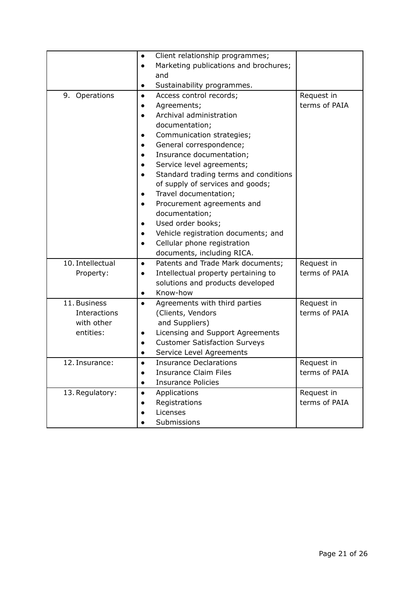|                  | Client relationship programmes;<br>$\bullet$       |               |
|------------------|----------------------------------------------------|---------------|
|                  | Marketing publications and brochures;<br>$\bullet$ |               |
|                  | and                                                |               |
|                  | Sustainability programmes.<br>$\bullet$            |               |
| 9. Operations    | Access control records;<br>$\bullet$               | Request in    |
|                  | Agreements;                                        | terms of PAIA |
|                  | Archival administration<br>$\bullet$               |               |
|                  | documentation;                                     |               |
|                  | Communication strategies;                          |               |
|                  | General correspondence;<br>$\bullet$               |               |
|                  | Insurance documentation;                           |               |
|                  | Service level agreements;                          |               |
|                  | Standard trading terms and conditions<br>$\bullet$ |               |
|                  | of supply of services and goods;                   |               |
|                  | Travel documentation;                              |               |
|                  | Procurement agreements and<br>$\bullet$            |               |
|                  | documentation;                                     |               |
|                  | Used order books;                                  |               |
|                  | Vehicle registration documents; and<br>$\bullet$   |               |
|                  | Cellular phone registration<br>$\bullet$           |               |
|                  | documents, including RICA.                         |               |
| 10. Intellectual | Patents and Trade Mark documents;<br>$\bullet$     | Request in    |
| Property:        | Intellectual property pertaining to                | terms of PAIA |
|                  | solutions and products developed                   |               |
|                  | Know-how<br>$\bullet$                              |               |
| 11. Business     | Agreements with third parties<br>$\bullet$         | Request in    |
| Interactions     | (Clients, Vendors                                  | terms of PAIA |
| with other       | and Suppliers)                                     |               |
| entities:        | Licensing and Support Agreements                   |               |
|                  | <b>Customer Satisfaction Surveys</b>               |               |
|                  | Service Level Agreements                           |               |
| 12. Insurance:   | <b>Insurance Declarations</b>                      | Request in    |
|                  | <b>Insurance Claim Files</b><br>$\bullet$          | terms of PAIA |
|                  | <b>Insurance Policies</b><br>$\bullet$             |               |
| 13. Regulatory:  | Applications<br>$\bullet$                          | Request in    |
|                  | Registrations                                      | terms of PAIA |
|                  | Licenses                                           |               |
|                  | Submissions                                        |               |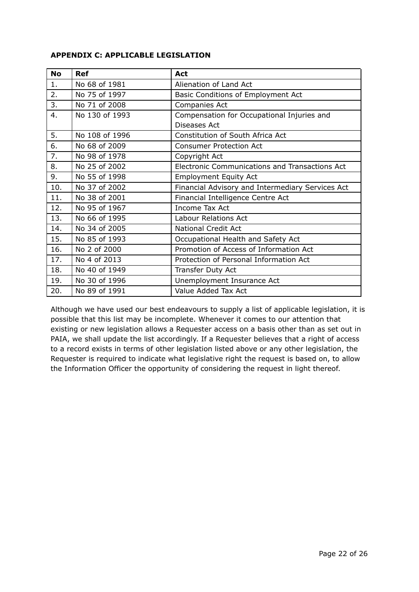#### **APPENDIX C: APPLICABLE LEGISLATION**

| <b>No</b>        | <b>Ref</b>     | Act                                                   |  |
|------------------|----------------|-------------------------------------------------------|--|
| 1.               | No 68 of 1981  | Alienation of Land Act                                |  |
| 2.               | No 75 of 1997  | Basic Conditions of Employment Act                    |  |
| 3.               | No 71 of 2008  | Companies Act                                         |  |
| 4.               | No 130 of 1993 | Compensation for Occupational Injuries and            |  |
|                  |                | Diseases Act                                          |  |
| 5.               | No 108 of 1996 | Constitution of South Africa Act                      |  |
| 6.               | No 68 of 2009  | <b>Consumer Protection Act</b>                        |  |
| $\overline{7}$ . | No 98 of 1978  | Copyright Act                                         |  |
| 8.               | No 25 of 2002  | <b>Electronic Communications and Transactions Act</b> |  |
| 9.               | No 55 of 1998  | <b>Employment Equity Act</b>                          |  |
| 10.              | No 37 of 2002  | Financial Advisory and Intermediary Services Act      |  |
| 11.              | No 38 of 2001  | Financial Intelligence Centre Act                     |  |
| 12.              | No 95 of 1967  | Income Tax Act                                        |  |
| 13.              | No 66 of 1995  | Labour Relations Act                                  |  |
| 14.              | No 34 of 2005  | <b>National Credit Act</b>                            |  |
| 15.              | No 85 of 1993  | Occupational Health and Safety Act                    |  |
| 16.              | No 2 of 2000   | Promotion of Access of Information Act                |  |
| 17.              | No 4 of 2013   | Protection of Personal Information Act                |  |
| 18.              | No 40 of 1949  | Transfer Duty Act                                     |  |
| 19.              | No 30 of 1996  | Unemployment Insurance Act                            |  |
| 20.              | No 89 of 1991  | Value Added Tax Act                                   |  |

Although we have used our best endeavours to supply a list of applicable legislation, it is possible that this list may be incomplete. Whenever it comes to our attention that existing or new legislation allows a Requester access on a basis other than as set out in PAIA, we shall update the list accordingly. If a Requester believes that a right of access to a record exists in terms of other legislation listed above or any other legislation, the Requester is required to indicate what legislative right the request is based on, to allow the Information Officer the opportunity of considering the request in light thereof.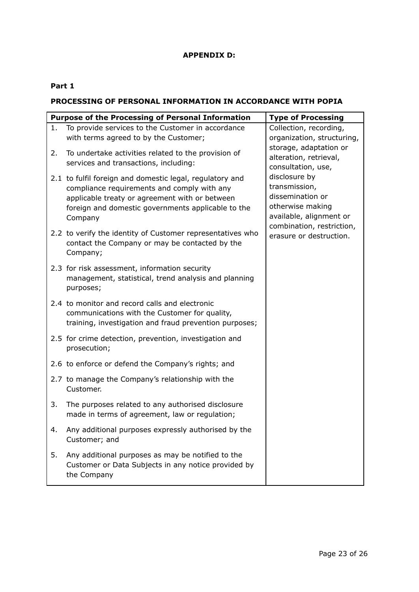## **APPENDIX D:**

## **Part 1**

## **PROCESSING OF PERSONAL INFORMATION IN ACCORDANCE WITH POPIA**

|    | <b>Purpose of the Processing of Personal Information</b>                                                                                                                                                                   | <b>Type of Processing</b>                                                                         |
|----|----------------------------------------------------------------------------------------------------------------------------------------------------------------------------------------------------------------------------|---------------------------------------------------------------------------------------------------|
| 1. | To provide services to the Customer in accordance<br>with terms agreed to by the Customer;                                                                                                                                 | Collection, recording,<br>organization, structuring,                                              |
| 2. | To undertake activities related to the provision of<br>services and transactions, including:                                                                                                                               | storage, adaptation or<br>alteration, retrieval,<br>consultation, use,                            |
|    | 2.1 to fulfil foreign and domestic legal, regulatory and<br>compliance requirements and comply with any<br>applicable treaty or agreement with or between<br>foreign and domestic governments applicable to the<br>Company | disclosure by<br>transmission,<br>dissemination or<br>otherwise making<br>available, alignment or |
|    | 2.2 to verify the identity of Customer representatives who<br>contact the Company or may be contacted by the<br>Company;                                                                                                   | combination, restriction,<br>erasure or destruction.                                              |
|    | 2.3 for risk assessment, information security<br>management, statistical, trend analysis and planning<br>purposes;                                                                                                         |                                                                                                   |
|    | 2.4 to monitor and record calls and electronic<br>communications with the Customer for quality,<br>training, investigation and fraud prevention purposes;                                                                  |                                                                                                   |
|    | 2.5 for crime detection, prevention, investigation and<br>prosecution;                                                                                                                                                     |                                                                                                   |
|    | 2.6 to enforce or defend the Company's rights; and                                                                                                                                                                         |                                                                                                   |
|    | 2.7 to manage the Company's relationship with the<br>Customer.                                                                                                                                                             |                                                                                                   |
| 3. | The purposes related to any authorised disclosure<br>made in terms of agreement, law or regulation;                                                                                                                        |                                                                                                   |
| 4. | Any additional purposes expressly authorised by the<br>Customer; and                                                                                                                                                       |                                                                                                   |
| 5. | Any additional purposes as may be notified to the<br>Customer or Data Subjects in any notice provided by<br>the Company                                                                                                    |                                                                                                   |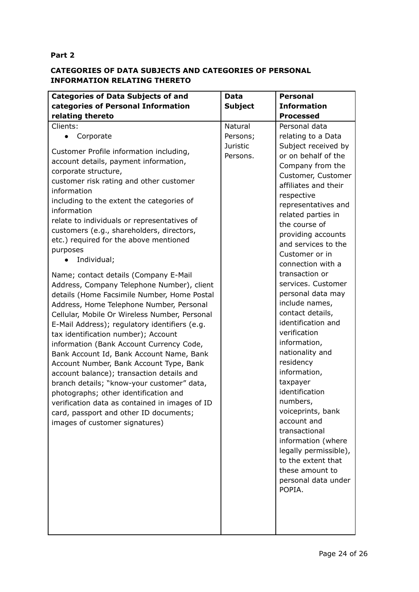## **Part 2**

## **CATEGORIES OF DATA SUBJECTS AND CATEGORIES OF PERSONAL INFORMATION RELATING THERETO**

| <b>Categories of Data Subjects of and</b>                                                                                                                                                                                                                                                                                                                                                                                                                                                                                                                                                                                                                                                                                                                                                                                                                                                                                                                                                                                                                                                                                       | Data                 | <b>Personal</b>                                                                                                                                                                                                                                                                                                                                                                                                                                                                                                                                                                                                                                                                                               |
|---------------------------------------------------------------------------------------------------------------------------------------------------------------------------------------------------------------------------------------------------------------------------------------------------------------------------------------------------------------------------------------------------------------------------------------------------------------------------------------------------------------------------------------------------------------------------------------------------------------------------------------------------------------------------------------------------------------------------------------------------------------------------------------------------------------------------------------------------------------------------------------------------------------------------------------------------------------------------------------------------------------------------------------------------------------------------------------------------------------------------------|----------------------|---------------------------------------------------------------------------------------------------------------------------------------------------------------------------------------------------------------------------------------------------------------------------------------------------------------------------------------------------------------------------------------------------------------------------------------------------------------------------------------------------------------------------------------------------------------------------------------------------------------------------------------------------------------------------------------------------------------|
| categories of Personal Information                                                                                                                                                                                                                                                                                                                                                                                                                                                                                                                                                                                                                                                                                                                                                                                                                                                                                                                                                                                                                                                                                              | <b>Subject</b>       | <b>Information</b>                                                                                                                                                                                                                                                                                                                                                                                                                                                                                                                                                                                                                                                                                            |
| relating thereto                                                                                                                                                                                                                                                                                                                                                                                                                                                                                                                                                                                                                                                                                                                                                                                                                                                                                                                                                                                                                                                                                                                |                      | <b>Processed</b>                                                                                                                                                                                                                                                                                                                                                                                                                                                                                                                                                                                                                                                                                              |
| Clients:                                                                                                                                                                                                                                                                                                                                                                                                                                                                                                                                                                                                                                                                                                                                                                                                                                                                                                                                                                                                                                                                                                                        | Natural              | Personal data                                                                                                                                                                                                                                                                                                                                                                                                                                                                                                                                                                                                                                                                                                 |
| Corporate                                                                                                                                                                                                                                                                                                                                                                                                                                                                                                                                                                                                                                                                                                                                                                                                                                                                                                                                                                                                                                                                                                                       | Persons;             | relating to a Data                                                                                                                                                                                                                                                                                                                                                                                                                                                                                                                                                                                                                                                                                            |
| Customer Profile information including,<br>account details, payment information,<br>corporate structure,<br>customer risk rating and other customer<br>information<br>including to the extent the categories of<br>information<br>relate to individuals or representatives of<br>customers (e.g., shareholders, directors,<br>etc.) required for the above mentioned<br>purposes<br>Individual;<br>Name; contact details (Company E-Mail<br>Address, Company Telephone Number), client<br>details (Home Facsimile Number, Home Postal<br>Address, Home Telephone Number, Personal<br>Cellular, Mobile Or Wireless Number, Personal<br>E-Mail Address); regulatory identifiers (e.g.<br>tax identification number); Account<br>information (Bank Account Currency Code,<br>Bank Account Id, Bank Account Name, Bank<br>Account Number, Bank Account Type, Bank<br>account balance); transaction details and<br>branch details; "know-your customer" data,<br>photographs; other identification and<br>verification data as contained in images of ID<br>card, passport and other ID documents;<br>images of customer signatures) | Juristic<br>Persons. | Subject received by<br>or on behalf of the<br>Company from the<br>Customer, Customer<br>affiliates and their<br>respective<br>representatives and<br>related parties in<br>the course of<br>providing accounts<br>and services to the<br>Customer or in<br>connection with a<br>transaction or<br>services. Customer<br>personal data may<br>include names,<br>contact details,<br>identification and<br>verification<br>information,<br>nationality and<br>residency<br>information,<br>taxpayer<br>identification<br>numbers,<br>voiceprints, bank<br>account and<br>transactional<br>information (where<br>legally permissible),<br>to the extent that<br>these amount to<br>personal data under<br>POPIA. |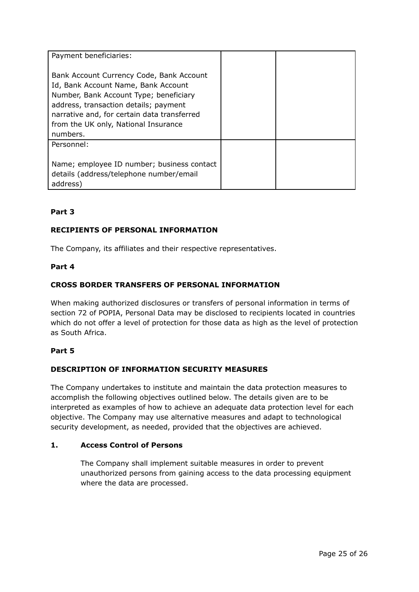| Payment beneficiaries:                                                                                                                                                                                                                                                |  |
|-----------------------------------------------------------------------------------------------------------------------------------------------------------------------------------------------------------------------------------------------------------------------|--|
| Bank Account Currency Code, Bank Account<br>Id, Bank Account Name, Bank Account<br>Number, Bank Account Type; beneficiary<br>address, transaction details; payment<br>narrative and, for certain data transferred<br>from the UK only, National Insurance<br>numbers. |  |
| Personnel:                                                                                                                                                                                                                                                            |  |
| Name; employee ID number; business contact<br>details (address/telephone number/email<br>address)                                                                                                                                                                     |  |

## **Part 3**

## **RECIPIENTS OF PERSONAL INFORMATION**

The Company, its affiliates and their respective representatives.

#### **Part 4**

## **CROSS BORDER TRANSFERS OF PERSONAL INFORMATION**

When making authorized disclosures or transfers of personal information in terms of section 72 of POPIA, Personal Data may be disclosed to recipients located in countries which do not offer a level of protection for those data as high as the level of protection as South Africa.

## **Part 5**

## **DESCRIPTION OF INFORMATION SECURITY MEASURES**

The Company undertakes to institute and maintain the data protection measures to accomplish the following objectives outlined below. The details given are to be interpreted as examples of how to achieve an adequate data protection level for each objective. The Company may use alternative measures and adapt to technological security development, as needed, provided that the objectives are achieved.

#### **1. Access Control of Persons**

The Company shall implement suitable measures in order to prevent unauthorized persons from gaining access to the data processing equipment where the data are processed.